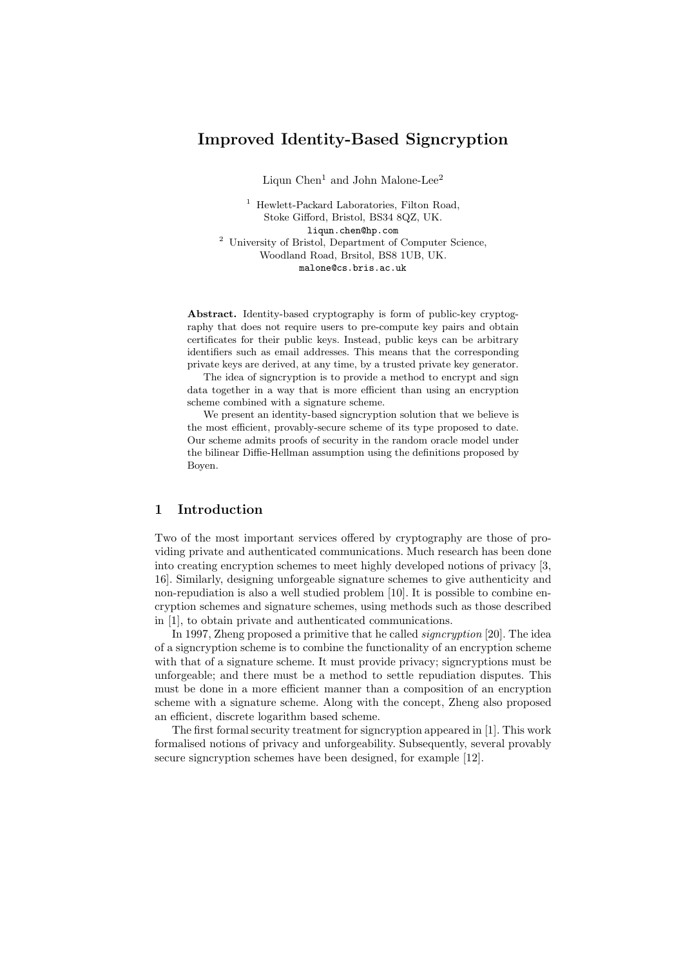# Improved Identity-Based Signcryption

Liqun Chen<sup>1</sup> and John Malone-Lee<sup>2</sup>

<sup>1</sup> Hewlett-Packard Laboratories, Filton Road, Stoke Gifford, Bristol, BS34 8QZ, UK. liqun.chen@hp.com <sup>2</sup> University of Bristol, Department of Computer Science, Woodland Road, Brsitol, BS8 1UB, UK. malone@cs.bris.ac.uk

Abstract. Identity-based cryptography is form of public-key cryptography that does not require users to pre-compute key pairs and obtain certificates for their public keys. Instead, public keys can be arbitrary identifiers such as email addresses. This means that the corresponding private keys are derived, at any time, by a trusted private key generator.

The idea of signcryption is to provide a method to encrypt and sign data together in a way that is more efficient than using an encryption scheme combined with a signature scheme.

We present an identity-based signcryption solution that we believe is the most efficient, provably-secure scheme of its type proposed to date. Our scheme admits proofs of security in the random oracle model under the bilinear Diffie-Hellman assumption using the definitions proposed by Boyen.

## 1 Introduction

Two of the most important services offered by cryptography are those of providing private and authenticated communications. Much research has been done into creating encryption schemes to meet highly developed notions of privacy [3, 16]. Similarly, designing unforgeable signature schemes to give authenticity and non-repudiation is also a well studied problem [10]. It is possible to combine encryption schemes and signature schemes, using methods such as those described in [1], to obtain private and authenticated communications.

In 1997, Zheng proposed a primitive that he called signcryption [20]. The idea of a signcryption scheme is to combine the functionality of an encryption scheme with that of a signature scheme. It must provide privacy; signcryptions must be unforgeable; and there must be a method to settle repudiation disputes. This must be done in a more efficient manner than a composition of an encryption scheme with a signature scheme. Along with the concept, Zheng also proposed an efficient, discrete logarithm based scheme.

The first formal security treatment for signcryption appeared in [1]. This work formalised notions of privacy and unforgeability. Subsequently, several provably secure signcryption schemes have been designed, for example [12].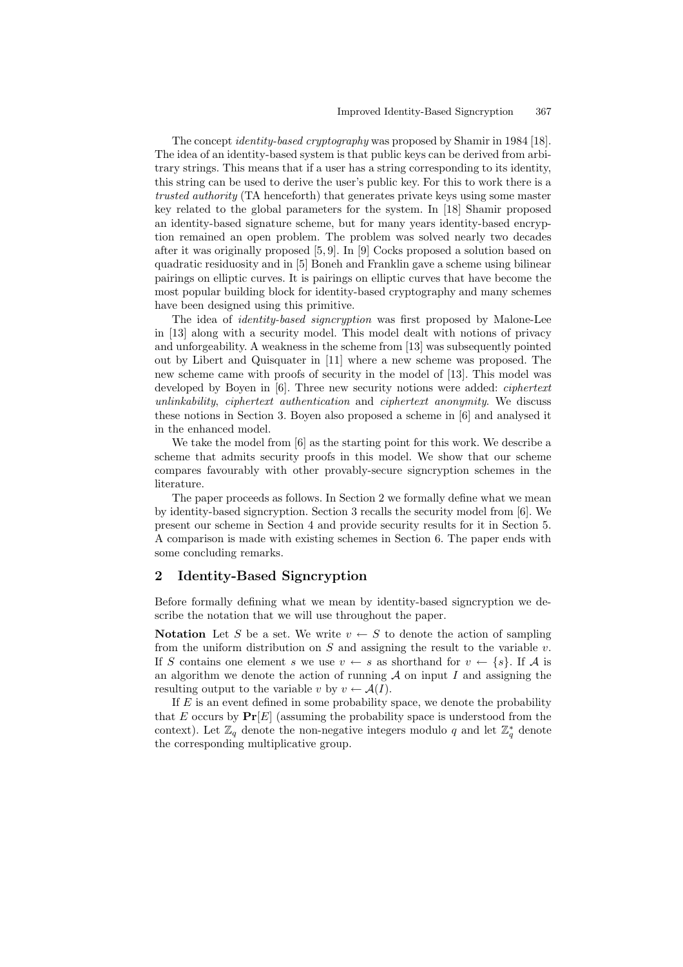The concept identity-based cryptography was proposed by Shamir in 1984 [18]. The idea of an identity-based system is that public keys can be derived from arbitrary strings. This means that if a user has a string corresponding to its identity, this string can be used to derive the user's public key. For this to work there is a trusted authority (TA henceforth) that generates private keys using some master key related to the global parameters for the system. In [18] Shamir proposed an identity-based signature scheme, but for many years identity-based encryption remained an open problem. The problem was solved nearly two decades after it was originally proposed [5, 9]. In [9] Cocks proposed a solution based on quadratic residuosity and in [5] Boneh and Franklin gave a scheme using bilinear pairings on elliptic curves. It is pairings on elliptic curves that have become the most popular building block for identity-based cryptography and many schemes have been designed using this primitive.

The idea of *identity-based signcryption* was first proposed by Malone-Lee in [13] along with a security model. This model dealt with notions of privacy and unforgeability. A weakness in the scheme from [13] was subsequently pointed out by Libert and Quisquater in [11] where a new scheme was proposed. The new scheme came with proofs of security in the model of [13]. This model was developed by Boyen in [6]. Three new security notions were added: *ciphertext* unlinkability, ciphertext authentication and ciphertext anonymity. We discuss these notions in Section 3. Boyen also proposed a scheme in [6] and analysed it in the enhanced model.

We take the model from [6] as the starting point for this work. We describe a scheme that admits security proofs in this model. We show that our scheme compares favourably with other provably-secure signcryption schemes in the literature.

The paper proceeds as follows. In Section 2 we formally define what we mean by identity-based signcryption. Section 3 recalls the security model from [6]. We present our scheme in Section 4 and provide security results for it in Section 5. A comparison is made with existing schemes in Section 6. The paper ends with some concluding remarks.

## 2 Identity-Based Signcryption

Before formally defining what we mean by identity-based signcryption we describe the notation that we will use throughout the paper.

Notation Let S be a set. We write  $v \leftarrow S$  to denote the action of sampling from the uniform distribution on  $S$  and assigning the result to the variable  $v$ . If S contains one element s we use  $v \leftarrow s$  as shorthand for  $v \leftarrow \{s\}$ . If A is an algorithm we denote the action of running  $A$  on input  $I$  and assigning the resulting output to the variable v by  $v \leftarrow \mathcal{A}(I)$ .

If  $E$  is an event defined in some probability space, we denote the probability that E occurs by  $Pr[E]$  (assuming the probability space is understood from the context). Let  $\mathbb{Z}_q$  denote the non-negative integers modulo q and let  $\mathbb{Z}_q^*$  denote the corresponding multiplicative group.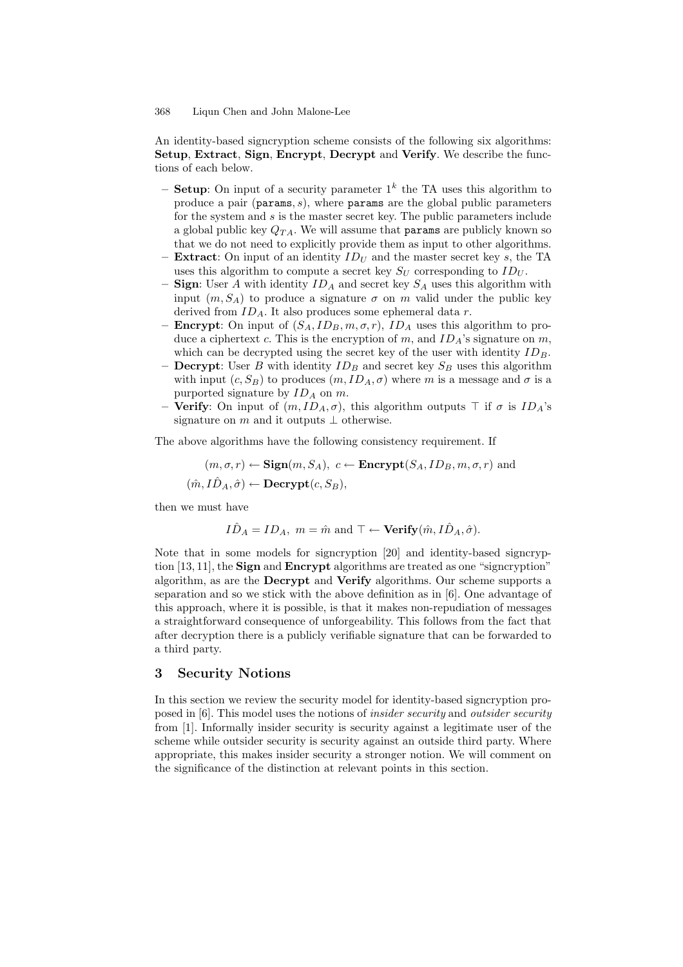An identity-based signcryption scheme consists of the following six algorithms: Setup, Extract, Sign, Encrypt, Decrypt and Verify. We describe the functions of each below.

- Setup: On input of a security parameter  $1^k$  the TA uses this algorithm to produce a pair (params,  $s$ ), where params are the global public parameters for the system and  $s$  is the master secret key. The public parameters include a global public key  $Q_{TA}$ . We will assume that **params** are publicly known so that we do not need to explicitly provide them as input to other algorithms.
- **Extract:** On input of an identity  $ID_U$  and the master secret key s, the TA uses this algorithm to compute a secret key  $S_{U}$  corresponding to  $ID_{U}$ .
- **Sign:** User A with identity  $ID_A$  and secret key  $S_A$  uses this algorithm with input  $(m, S_A)$  to produce a signature  $\sigma$  on m valid under the public key derived from  $ID_A$ . It also produces some ephemeral data r.
- **Encrypt**: On input of  $(S_A, ID_B, m, \sigma, r)$ ,  $ID_A$  uses this algorithm to produce a ciphertext c. This is the encryption of m, and  $ID_A$ 's signature on m, which can be decrypted using the secret key of the user with identity  $ID_B$ .
- **Decrypt:** User B with identity  $ID_B$  and secret key  $S_B$  uses this algorithm with input  $(c, S_B)$  to produces  $(m, ID_A, \sigma)$  where m is a message and  $\sigma$  is a purported signature by  $ID_A$  on  $m$ .
- **Verify:** On input of  $(m, ID_A, \sigma)$ , this algorithm outputs  $\top$  if  $\sigma$  is  $ID_A$ 's signature on m and it outputs  $\perp$  otherwise.

The above algorithms have the following consistency requirement. If

$$
(m, \sigma, r) \leftarrow \text{Sign}(m, S_A), c \leftarrow \text{Encrypt}(S_A, ID_B, m, \sigma, r)
$$
 and  
 $(\hat{m}, I\hat{D}_A, \hat{\sigma}) \leftarrow \text{Decrypt}(c, S_B),$ 

then we must have

$$
I\hat{D}_A = ID_A
$$
,  $m = \hat{m}$  and  $\top \leftarrow$  **Verify** $(\hat{m}, I\hat{D}_A, \hat{\sigma})$ .

Note that in some models for signcryption [20] and identity-based signcryption  $[13, 11]$ , the **Sign** and **Encrypt** algorithms are treated as one "signcryption" algorithm, as are the Decrypt and Verify algorithms. Our scheme supports a separation and so we stick with the above definition as in [6]. One advantage of this approach, where it is possible, is that it makes non-repudiation of messages a straightforward consequence of unforgeability. This follows from the fact that after decryption there is a publicly verifiable signature that can be forwarded to a third party.

### 3 Security Notions

In this section we review the security model for identity-based signcryption proposed in [6]. This model uses the notions of insider security and outsider security from [1]. Informally insider security is security against a legitimate user of the scheme while outsider security is security against an outside third party. Where appropriate, this makes insider security a stronger notion. We will comment on the significance of the distinction at relevant points in this section.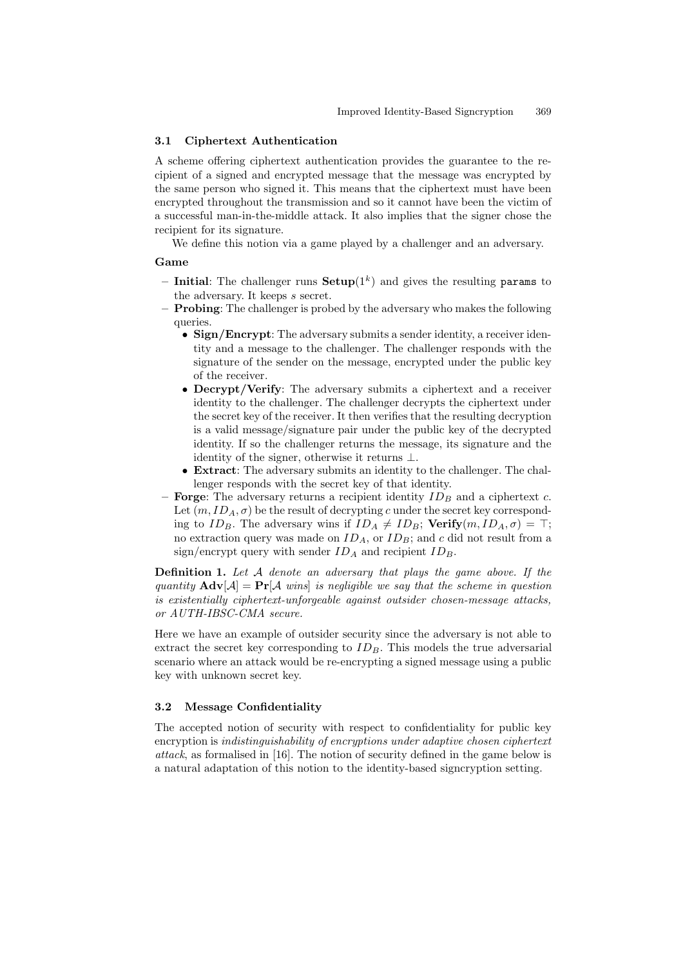#### 3.1 Ciphertext Authentication

A scheme offering ciphertext authentication provides the guarantee to the recipient of a signed and encrypted message that the message was encrypted by the same person who signed it. This means that the ciphertext must have been encrypted throughout the transmission and so it cannot have been the victim of a successful man-in-the-middle attack. It also implies that the signer chose the recipient for its signature.

We define this notion via a game played by a challenger and an adversary.

#### Game

- Initial: The challenger runs  $\mathbf{Setup}(1^k)$  and gives the resulting params to the adversary. It keeps s secret.
- Probing: The challenger is probed by the adversary who makes the following queries.
	- Sign/Encrypt: The adversary submits a sender identity, a receiver identity and a message to the challenger. The challenger responds with the signature of the sender on the message, encrypted under the public key of the receiver.
	- Decrypt/Verify: The adversary submits a ciphertext and a receiver identity to the challenger. The challenger decrypts the ciphertext under the secret key of the receiver. It then verifies that the resulting decryption is a valid message/signature pair under the public key of the decrypted identity. If so the challenger returns the message, its signature and the identity of the signer, otherwise it returns ⊥.
	- Extract: The adversary submits an identity to the challenger. The challenger responds with the secret key of that identity.
- Forge: The adversary returns a recipient identity  $ID_B$  and a ciphertext c. Let  $(m, ID_A, \sigma)$  be the result of decrypting c under the secret key corresponding to  $ID_B$ . The adversary wins if  $ID_A \neq ID_B$ ; Verify $(m, ID_A, \sigma) = \top$ ; no extraction query was made on  $ID_A$ , or  $ID_B$ ; and c did not result from a sign/encrypt query with sender  $ID_A$  and recipient  $ID_B$ .

Definition 1. Let A denote an adversary that plays the game above. If the quantity  $\mathbf{Adv}[\mathcal{A}] = \mathbf{Pr}[\mathcal{A} \text{ wins}]$  is negligible we say that the scheme in question is existentially ciphertext-unforgeable against outsider chosen-message attacks, or AUTH-IBSC-CMA secure.

Here we have an example of outsider security since the adversary is not able to extract the secret key corresponding to  $ID<sub>B</sub>$ . This models the true adversarial scenario where an attack would be re-encrypting a signed message using a public key with unknown secret key.

### 3.2 Message Confidentiality

The accepted notion of security with respect to confidentiality for public key encryption is indistinguishability of encryptions under adaptive chosen ciphertext attack, as formalised in [16]. The notion of security defined in the game below is a natural adaptation of this notion to the identity-based signcryption setting.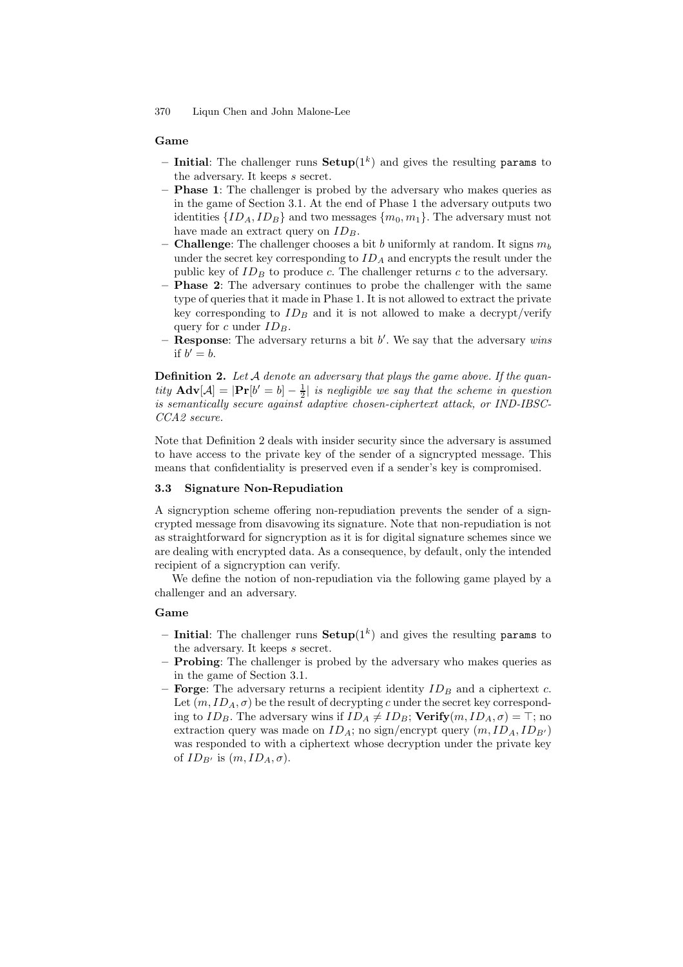#### Game

- Initial: The challenger runs  $\mathbf{Setup}(1^k)$  and gives the resulting params to the adversary. It keeps s secret.
- Phase 1: The challenger is probed by the adversary who makes queries as in the game of Section 3.1. At the end of Phase 1 the adversary outputs two identities  $\{ID_A, ID_B\}$  and two messages  $\{m_0, m_1\}$ . The adversary must not have made an extract query on  $ID_B$ .
- **Challenge:** The challenger chooses a bit b uniformly at random. It signs  $m_b$ under the secret key corresponding to  $ID_A$  and encrypts the result under the public key of  $ID_B$  to produce c. The challenger returns c to the adversary.
- Phase 2: The adversary continues to probe the challenger with the same type of queries that it made in Phase 1. It is not allowed to extract the private key corresponding to  $ID_B$  and it is not allowed to make a decrypt/verify query for c under  $ID_B$ .
- **Response:** The adversary returns a bit  $b'$ . We say that the adversary wins if  $b'=b$ .

**Definition 2.** Let  $A$  denote an adversary that plays the game above. If the quantity  $\mathbf{Adv}[\mathcal{A}] = |\mathbf{Pr}[b' = b] - \frac{1}{2}|$  is negligible we say that the scheme in question is semantically secure against adaptive chosen-ciphertext attack, or IND-IBSC-CCA2 secure.

Note that Definition 2 deals with insider security since the adversary is assumed to have access to the private key of the sender of a signcrypted message. This means that confidentiality is preserved even if a sender's key is compromised.

#### 3.3 Signature Non-Repudiation

A signcryption scheme offering non-repudiation prevents the sender of a signcrypted message from disavowing its signature. Note that non-repudiation is not as straightforward for signcryption as it is for digital signature schemes since we are dealing with encrypted data. As a consequence, by default, only the intended recipient of a signcryption can verify.

We define the notion of non-repudiation via the following game played by a challenger and an adversary.

### Game

- Initial: The challenger runs  $\mathbf{Setup}(1^k)$  and gives the resulting params to the adversary. It keeps s secret.
- Probing: The challenger is probed by the adversary who makes queries as in the game of Section 3.1.
- Forge: The adversary returns a recipient identity  $ID_B$  and a ciphertext c. Let  $(m, ID_A, \sigma)$  be the result of decrypting c under the secret key corresponding to  $ID_B$ . The adversary wins if  $ID_A \neq ID_B$ ; Verify $(m, ID_A, \sigma) = \top$ ; no extraction query was made on  $ID_A$ ; no sign/encrypt query  $(m, ID_A, ID_{B'})$ was responded to with a ciphertext whose decryption under the private key of  $ID_{B'}$  is  $(m, ID_A, \sigma)$ .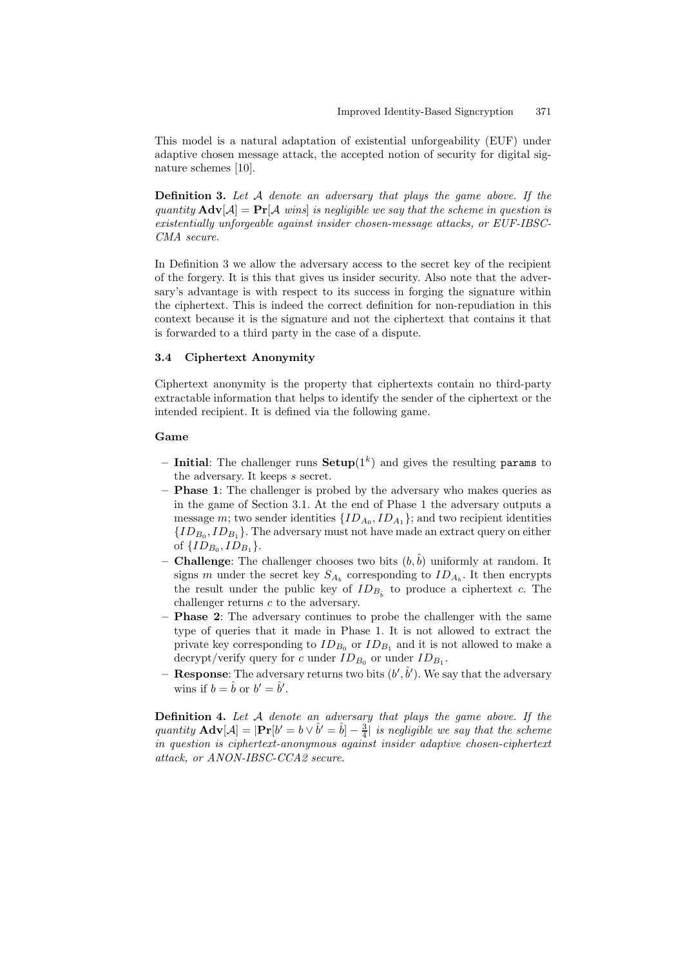This model is a natural adaptation of existential unforgeability (EUF) under adaptive chosen message attack, the accepted notion of security for digital signature schemes [10].

Definition 3. Let A denote an adversary that plays the game above. If the quantity  $\mathbf{Adv}[\mathcal{A}] = \mathbf{Pr}[\mathcal{A} \text{ wins}]$  is negligible we say that the scheme in question is existentially unforgeable against insider chosen-message attacks, or EUF-IBSC-CMA secure.

In Definition 3 we allow the adversary access to the secret key of the recipient of the forgery. It is this that gives us insider security. Also note that the adversary's advantage is with respect to its success in forging the signature within the ciphertext. This is indeed the correct definition for non-repudiation in this context because it is the signature and not the ciphertext that contains it that is forwarded to a third party in the case of a dispute.

## 3.4 Ciphertext Anonymity

Ciphertext anonymity is the property that ciphertexts contain no third-party extractable information that helps to identify the sender of the ciphertext or the intended recipient. It is defined via the following game.

#### Game

- Initial: The challenger runs  $\mathbf{Setup}(1^k)$  and gives the resulting params to the adversary. It keeps s secret.
- **Phase 1:** The challenger is probed by the adversary who makes queries as in the game of Section 3.1. At the end of Phase 1 the adversary outputs a message *m*; two sender identities  $\{ID_{A_0}, ID_{A_1}\}$ ; and two recipient identities  $\{ {ID_{B_0},ID_{B_1}} \}.$  The adversary must not have made an extract query on either of  $\{ID_{B_0}, ID_{B_1}\}.$
- **Challenge**: The challenger chooses two bits  $(b, \hat{b})$  uniformly at random. It signs m under the secret key  $S_{A_b}$  corresponding to  $ID_{A_b}$ . It then encrypts the result under the public key of  $ID_{B_{\hat{b}}}$  to produce a ciphertext c. The challenger returns c to the adversary.
- **Phase 2:** The adversary continues to probe the challenger with the same type of queries that it made in Phase 1. It is not allowed to extract the private key corresponding to  $ID_{B_0}$  or  $ID_{B_1}$  and it is not allowed to make a decrypt/verify query for c under  $ID_{B_0}$  or under  $ID_{B_1}$ .
- Response: The adversary returns two bits  $(b',\hat{b}')$ . We say that the adversary wins if  $b = \hat{b}$  or  $b' = \hat{b}'$ .

Definition 4. Let A denote an adversary that plays the game above. If the quantity  $\mathbf{Adv}[\mathcal{A}] = |\mathbf{Pr}[b' = b \vee \hat{b}' = \hat{b}] - \frac{3}{4} \hat{b}$  is negligible we say that the scheme in question is ciphertext-anonymous against insider adaptive chosen-ciphertext attack, or ANON-IBSC-CCA2 secure.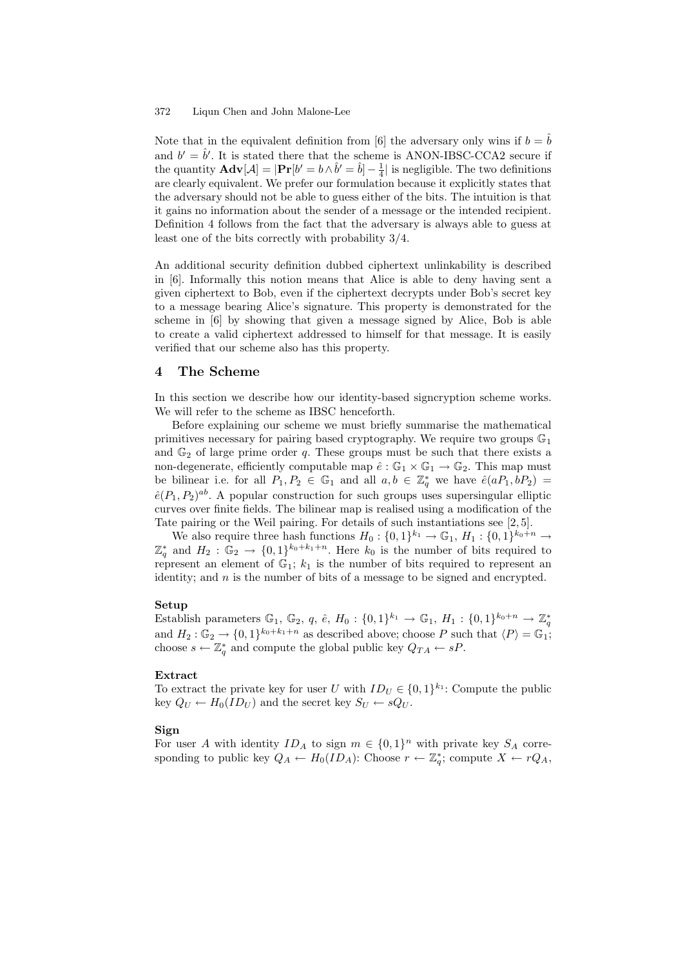Note that in the equivalent definition from [6] the adversary only wins if  $b = b$ and  $b' = \hat{b}'$ . It is stated there that the scheme is ANON-IBSC-CCA2 secure if the quantity  $\mathbf{Adv}[\mathcal{A}] = |\mathbf{Pr}[b' = b \wedge \hat{b}' = \hat{b}] - \frac{1}{4}|\text{ is negligible. The two definitions}$ are clearly equivalent. We prefer our formulation because it explicitly states that the adversary should not be able to guess either of the bits. The intuition is that it gains no information about the sender of a message or the intended recipient. Definition 4 follows from the fact that the adversary is always able to guess at least one of the bits correctly with probability 3/4.

An additional security definition dubbed ciphertext unlinkability is described in [6]. Informally this notion means that Alice is able to deny having sent a given ciphertext to Bob, even if the ciphertext decrypts under Bob's secret key to a message bearing Alice's signature. This property is demonstrated for the scheme in [6] by showing that given a message signed by Alice, Bob is able to create a valid ciphertext addressed to himself for that message. It is easily verified that our scheme also has this property.

## 4 The Scheme

In this section we describe how our identity-based signcryption scheme works. We will refer to the scheme as IBSC henceforth.

Before explaining our scheme we must briefly summarise the mathematical primitives necessary for pairing based cryptography. We require two groups  $\mathbb{G}_1$ and  $\mathbb{G}_2$  of large prime order q. These groups must be such that there exists a non-degenerate, efficiently computable map  $\hat{e} : \mathbb{G}_1 \times \mathbb{G}_1 \to \mathbb{G}_2$ . This map must be bilinear i.e. for all  $P_1, P_2 \in \mathbb{G}_1$  and all  $a, b \in \mathbb{Z}_q^*$  we have  $\hat{e}(aP_1, bP_2)$  $\hat{e}(P_1, P_2)^{ab}$ . A popular construction for such groups uses supersingular elliptic curves over finite fields. The bilinear map is realised using a modification of the Tate pairing or the Weil pairing. For details of such instantiations see [2, 5].

We also require three hash functions  $H_0: \{0,1\}^{k_1} \to \mathbb{G}_1$ ,  $H_1: \{0,1\}^{k_0+n} \to$  $\mathbb{Z}_q^*$  and  $H_2 : \mathbb{G}_2 \to \{0,1\}^{k_0+k_1+n}$ . Here  $k_0$  is the number of bits required to represent an element of  $\mathbb{G}_1$ ;  $k_1$  is the number of bits required to represent an identity; and  $n$  is the number of bits of a message to be signed and encrypted.

#### Setup

Establish parameters  $\mathbb{G}_1, \mathbb{G}_2, q, \hat{e}, H_0: \{0,1\}^{k_1} \to \mathbb{G}_1, H_1: \{0,1\}^{k_0+n} \to \mathbb{Z}_q^*$ and  $H_2: \mathbb{G}_2 \to \{0,1\}^{k_0+k_1+n}$  as described above; choose P such that  $\langle P \rangle = \mathbb{G}_1$ ; choose  $s \leftarrow \mathbb{Z}_q^*$  and compute the global public key  $Q_{TA} \leftarrow sP$ .

#### Extract

To extract the private key for user U with  $ID_U \in \{0,1\}^{k_1}$ : Compute the public key  $Q_U \leftarrow H_0(ID_U)$  and the secret key  $S_U \leftarrow sQ_U$ .

## Sign

For user A with identity  $ID_A$  to sign  $m \in \{0,1\}^n$  with private key  $S_A$  corresponding to public key  $Q_A \leftarrow H_0(ID_A)$ : Choose  $r \leftarrow \mathbb{Z}_q^*$ ; compute  $X \leftarrow rQ_A$ ,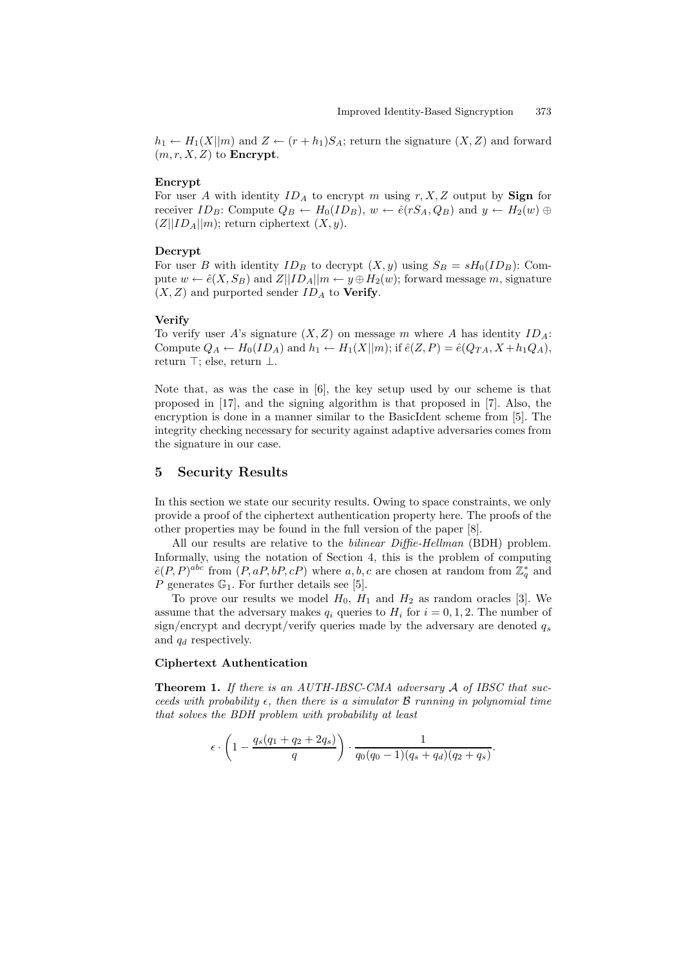$h_1 \leftarrow H_1(X||m)$  and  $Z \leftarrow (r+h_1)S_A$ ; return the signature  $(X, Z)$  and forward  $(m, r, X, Z)$  to **Encrypt**.

#### Encrypt

For user A with identity  $ID_A$  to encrypt m using r, X, Z output by **Sign** for receiver  $ID_B$ : Compute  $Q_B \leftarrow H_0(ID_B)$ ,  $w \leftarrow \hat{e}(rS_A, Q_B)$  and  $y \leftarrow H_2(w) \oplus$  $(Z||ID<sub>A</sub>||m)$ ; return ciphertext  $(X, y)$ .

#### Decrypt

For user B with identity  $ID_B$  to decrypt  $(X, y)$  using  $S_B = sH_0(ID_B)$ : Compute  $w \leftarrow \hat{e}(X, S_B)$  and  $Z||ID_A||m \leftarrow y \oplus H_2(w)$ ; forward message m, signature  $(X, Z)$  and purported sender  $ID<sub>A</sub>$  to **Verify**.

#### Verify

To verify user A's signature  $(X, Z)$  on message m where A has identity  $ID_A$ : Compute  $Q_A \leftarrow H_0(ID_A)$  and  $h_1 \leftarrow H_1(X||m)$ ; if  $\hat{e}(Z, P) = \hat{e}(Q_{TA}, X + h_1Q_A)$ , return  $\top$ ; else, return  $\bot$ .

Note that, as was the case in [6], the key setup used by our scheme is that proposed in [17], and the signing algorithm is that proposed in [7]. Also, the encryption is done in a manner similar to the BasicIdent scheme from [5]. The integrity checking necessary for security against adaptive adversaries comes from the signature in our case.

## 5 Security Results

In this section we state our security results. Owing to space constraints, we only provide a proof of the ciphertext authentication property here. The proofs of the other properties may be found in the full version of the paper [8].

All our results are relative to the *bilinear Diffie-Hellman* (BDH) problem. Informally, using the notation of Section 4, this is the problem of computing  $\hat{e}(P,P)^{abc}$  from  $(P,aP,bP,cP)$  where a, b, c are chosen at random from  $\mathbb{Z}_q^*$  and P generates  $\mathbb{G}_1$ . For further details see [5].

To prove our results we model  $H_0$ ,  $H_1$  and  $H_2$  as random oracles [3]. We assume that the adversary makes  $q_i$  queries to  $H_i$  for  $i = 0, 1, 2$ . The number of sign/encrypt and decrypt/verify queries made by the adversary are denoted  $q_s$ and  $q_d$  respectively.

### Ciphertext Authentication

Theorem 1. If there is an AUTH-IBSC-CMA adversary A of IBSC that succeeds with probability  $\epsilon$ , then there is a simulator  $\beta$  running in polynomial time that solves the BDH problem with probability at least

$$
\epsilon \cdot \left(1 - \frac{q_s(q_1 + q_2 + 2q_s)}{q}\right) \cdot \frac{1}{q_0(q_0 - 1)(q_s + q_d)(q_2 + q_s)}
$$

.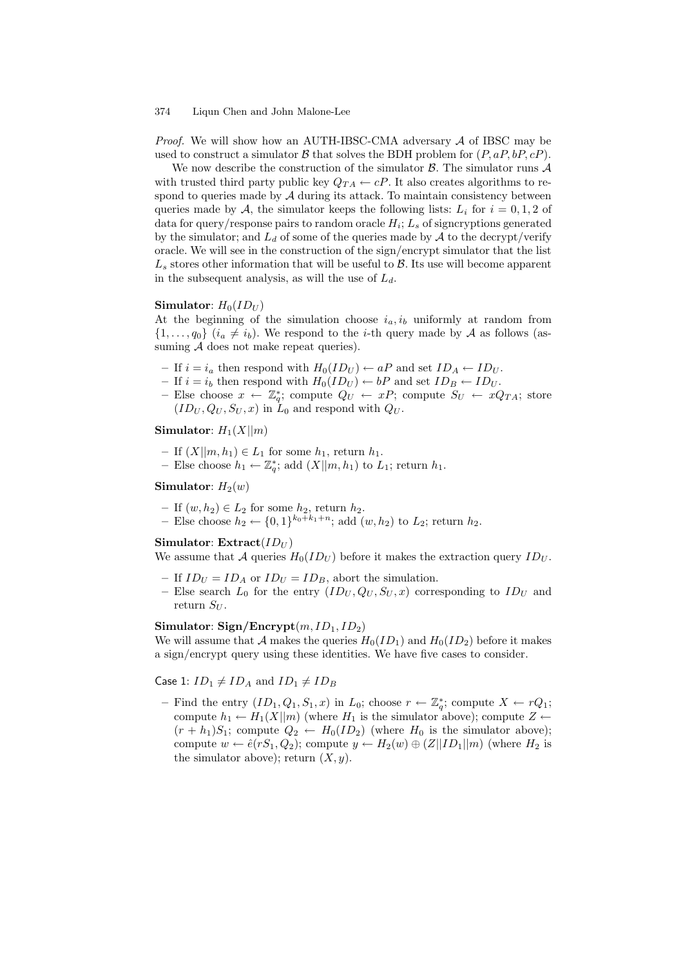*Proof.* We will show how an AUTH-IBSC-CMA adversary  $A$  of IBSC may be used to construct a simulator  $\beta$  that solves the BDH problem for  $(P, aP, bP, cP)$ .

We now describe the construction of the simulator  $\beta$ . The simulator runs  $\mathcal A$ with trusted third party public key  $Q_{TA} \leftarrow cP$ . It also creates algorithms to respond to queries made by  $A$  during its attack. To maintain consistency between queries made by A, the simulator keeps the following lists:  $L_i$  for  $i = 0, 1, 2$  of data for query/response pairs to random oracle  $H_i; L_s$  of signcryptions generated by the simulator; and  $L_d$  of some of the queries made by  $A$  to the decrypt/verify oracle. We will see in the construction of the sign/encrypt simulator that the list  $L<sub>s</sub>$  stores other information that will be useful to  $\beta$ . Its use will become apparent in the subsequent analysis, as will the use of  $L_d$ .

#### Simulator:  $H_0(ID_U)$

At the beginning of the simulation choose  $i_a, i_b$  uniformly at random from  $\{1,\ldots,q_0\}$   $(i_a \neq i_b)$ . We respond to the *i*-th query made by A as follows (assuming  $A$  does not make repeat queries).

- If  $i = i_a$  then respond with  $H_0(ID_U) \leftarrow aP$  and set  $ID_A \leftarrow ID_U$ .
- If  $i = i_b$  then respond with  $H_0(ID_U) \leftarrow bP$  and set  $ID_B \leftarrow ID_U$ .
- Else choose  $x \leftarrow \mathbb{Z}_q^*$ ; compute  $Q_U \leftarrow xP$ ; compute  $S_U \leftarrow xQ_{TA}$ ; store  $(ID_U, Q_U, S_U, x)$  in  $\overline{L}_0$  and respond with  $Q_U$ .

## Simulator:  $H_1(X||m)$

- If  $(X||m, h_1) \in L_1$  for some  $h_1$ , return  $h_1$ .
- Else choose  $h_1 \leftarrow \mathbb{Z}_q^*$ ; add  $(X||m, h_1)$  to  $L_1$ ; return  $h_1$ .

### Simulator:  $H_2(w)$

- If  $(w, h_2) \in L_2$  for some  $h_2$ , return  $h_2$ .
- Else choose  $h_2 \leftarrow \{0, 1\}^{k_0 + k_1 + n}$ ; add  $(w, h_2)$  to  $L_2$ ; return  $h_2$ .

## Simulator: Extract $(ID_U)$

We assume that A queries  $H_0(ID_U)$  before it makes the extraction query  $ID_U$ .

- If  $ID_U = ID_A$  or  $ID_U = ID_B$ , abort the simulation.
- Else search  $L_0$  for the entry  $(ID_U, Q_U, S_U, x)$  corresponding to  $ID_U$  and return  $S_U$ .

## Simulator: Sign/Encrypt $(m, ID_1, ID_2)$

We will assume that A makes the queries  $H_0(ID_1)$  and  $H_0(ID_2)$  before it makes a sign/encrypt query using these identities. We have five cases to consider.

## Case 1:  $ID_1 \neq ID_A$  and  $ID_1 \neq ID_B$

- Find the entry  $(ID_1, Q_1, S_1, x)$  in  $L_0$ ; choose  $r \leftarrow \mathbb{Z}_q^*$ ; compute  $X \leftarrow rQ_1$ ; compute  $h_1 \leftarrow H_1(X||m)$  (where  $H_1$  is the simulator above); compute  $Z \leftarrow$  $(r + h_1)S_1$ ; compute  $Q_2 \leftarrow H_0(ID_2)$  (where  $H_0$  is the simulator above); compute  $w \leftarrow \hat{e}(rS_1, Q_2)$ ; compute  $y \leftarrow H_2(w) \oplus (Z||ID_1||m)$  (where  $H_2$  is the simulator above); return  $(X, y)$ .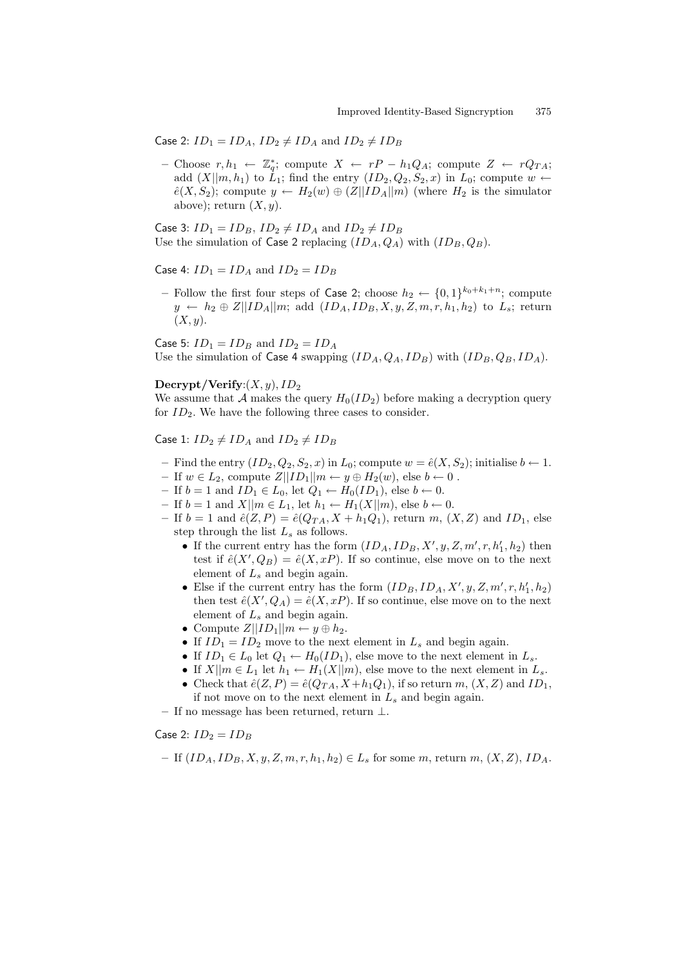Case 2:  $ID_1 = ID_A$ ,  $ID_2 \neq ID_A$  and  $ID_2 \neq ID_B$ 

– Choose  $r, h_1 \leftarrow \mathbb{Z}_q^*$ ; compute  $X \leftarrow rP - h_1Q_A$ ; compute  $Z \leftarrow rQ_{TA}$ ; add  $(X||m, h_1)$  to  $\dot{L}_1$ ; find the entry  $(ID_2, Q_2, S_2, x)$  in  $L_0$ ; compute  $w \leftarrow$  $\hat{e}(X, S_2)$ ; compute  $y \leftarrow H_2(w) \oplus (Z||ID_A||m)$  (where  $H_2$  is the simulator above); return  $(X, y)$ .

Case 3:  $ID_1 = ID_B$ ,  $ID_2 \neq ID_A$  and  $ID_2 \neq ID_B$ Use the simulation of Case 2 replacing  $(ID_A, Q_A)$  with  $(ID_B, Q_B)$ .

Case 4:  $ID_1 = ID_A$  and  $ID_2 = ID_B$ 

– Follow the first four steps of Case 2; choose  $h_2 \leftarrow \{0,1\}^{k_0+k_1+n}$ ; compute  $y \leftarrow h_2 \oplus Z||ID_A||m$ ; add  $(ID_A, ID_B, X, y, Z, m, r, h_1, h_2)$  to  $L_s$ ; return  $(X, y)$ .

Case 5:  $ID_1 = ID_B$  and  $ID_2 = ID_A$ Use the simulation of Case 4 swapping  $(ID<sub>A</sub>, Q<sub>A</sub>, ID<sub>B</sub>)$  with  $(ID<sub>B</sub>, Q<sub>B</sub>, ID<sub>A</sub>)$ .

### $\text{Decrypt}/\text{Verify}: (X, y), ID_2$

We assume that A makes the query  $H_0(ID_2)$  before making a decryption query for  $ID_2$ . We have the following three cases to consider.

Case 1:  $ID_2 \neq ID_A$  and  $ID_2 \neq ID_B$ 

- Find the entry  $(ID_2, Q_2, S_2, x)$  in  $L_0$ ; compute  $w = \hat{e}(X, S_2)$ ; initialise  $b \leftarrow 1$ .
- If  $w \in L_2$ , compute  $Z||ID_1||m \leftarrow y \oplus H_2(w)$ , else  $b \leftarrow 0$ .
- If  $b = 1$  and  $ID_1 \in L_0$ , let  $Q_1 \leftarrow H_0(ID_1)$ , else  $b \leftarrow 0$ .
- If  $b = 1$  and  $X||m \in L_1$ , let  $h_1 \leftarrow H_1(X||m)$ , else  $b \leftarrow 0$ .
- If  $b = 1$  and  $\hat{e}(Z, P) = \hat{e}(Q_{TA}, X + h_1Q_1)$ , return m,  $(X, Z)$  and  $ID_1$ , else step through the list  $L_s$  as follows.
	- If the current entry has the form  $(ID_A, ID_B, X', y, Z, m', r, h'_1, h_2)$  then test if  $\hat{e}(X', Q_B) = \hat{e}(X, xP)$ . If so continue, else move on to the next element of  $L_s$  and begin again.
	- Else if the current entry has the form  $(ID_B, ID_A, X', y, Z, m', r, h'_1, h_2)$ then test  $\hat{e}(X', Q_A) = \hat{e}(X, xP)$ . If so continue, else move on to the next element of  $L<sub>s</sub>$  and begin again.
	- Compute  $Z||ID_1||m \leftarrow y \oplus h_2$ .
	- If  $ID_1 = ID_2$  move to the next element in  $L_s$  and begin again.
	- If  $ID_1 \in L_0$  let  $Q_1 \leftarrow H_0(ID_1)$ , else move to the next element in  $L_s$ .
	- If  $X||m \in L_1$  let  $h_1 \leftarrow H_1(X||m)$ , else move to the next element in  $L_s$ .
	- Check that  $\hat{e}(Z, P) = \hat{e}(Q_{TA}, X + h_1Q_1)$ , if so return  $m, (X, Z)$  and  $ID_1$ , if not move on to the next element in  $L_s$  and begin again.

– If no message has been returned, return ⊥.

Case 2:  $ID_2 = ID_B$ 

- If 
$$
(ID_A, ID_B, X, y, Z, m, r, h_1, h_2) \in L_s
$$
 for some m, return m,  $(X, Z), ID_A$ .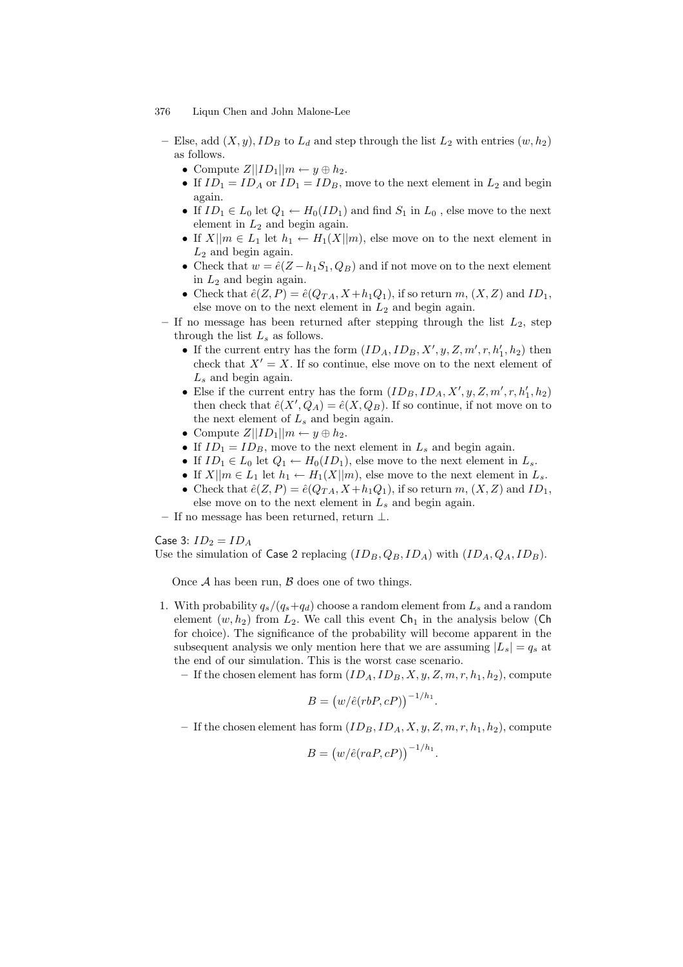- Else, add  $(X, y)$ ,  $ID_B$  to  $L_d$  and step through the list  $L_2$  with entries  $(w, h_2)$ as follows.
	- Compute  $Z||ID_1||m \leftarrow y \oplus h_2$ .
	- If  $ID_1 = ID_A$  or  $ID_1 = ID_B$ , move to the next element in  $L_2$  and begin again.
	- If  $ID_1 \in L_0$  let  $Q_1 \leftarrow H_0(ID_1)$  and find  $S_1$  in  $L_0$ , else move to the next element in  $L_2$  and begin again.
	- If  $X||m \in L_1$  let  $h_1 \leftarrow H_1(X||m)$ , else move on to the next element in  $L_2$  and begin again.
	- Check that  $w = \hat{e}(Z h_1S_1, Q_B)$  and if not move on to the next element in  $L_2$  and begin again.
	- Check that  $\hat{e}(Z, P) = \hat{e}(Q_{TA}, X + h_1Q_1)$ , if so return m,  $(X, Z)$  and  $ID_1$ , else move on to the next element in  $L_2$  and begin again.
- If no message has been returned after stepping through the list  $L_2$ , step through the list  $L_s$  as follows.
	- If the current entry has the form  $(ID_A, ID_B, X', y, Z, m', r, h'_1, h_2)$  then check that  $X' = X$ . If so continue, else move on to the next element of  $L<sub>s</sub>$  and begin again.
	- Else if the current entry has the form  $(ID_B, ID_A, X', y, Z, m', r, h'_1, h_2)$ then check that  $\hat{e}(X', Q_A) = \hat{e}(X, Q_B)$ . If so continue, if not move on to the next element of  $L_s$  and begin again.
	- Compute  $Z||ID_1||m \leftarrow y \oplus h_2$ .
	- If  $ID_1 = ID_B$ , move to the next element in  $L_s$  and begin again.
	- If  $ID_1 \in L_0$  let  $Q_1 \leftarrow H_0(ID_1)$ , else move to the next element in  $L_s$ .
	- If  $X||m \in L_1$  let  $h_1 \leftarrow H_1(X||m)$ , else move to the next element in  $L_s$ .
	- Check that  $\hat{e}(Z, P) = \hat{e}(Q_{TA}, X + h_1Q_1)$ , if so return  $m, (X, Z)$  and  $ID_1$ , else move on to the next element in  $L_s$  and begin again.
- If no message has been returned, return ⊥.

Case 3:  $ID_2 = ID_A$ 

Use the simulation of Case 2 replacing  $(ID_B, Q_B, ID_A)$  with  $(ID_A, Q_A, ID_B)$ .

Once  $A$  has been run,  $B$  does one of two things.

- 1. With probability  $q_s/(q_s+q_d)$  choose a random element from  $L_s$  and a random element  $(w, h_2)$  from  $L_2$ . We call this event  $\mathsf{Ch}_1$  in the analysis below (Ch for choice). The significance of the probability will become apparent in the subsequent analysis we only mention here that we are assuming  $|L_s| = q_s$  at the end of our simulation. This is the worst case scenario.
	- If the chosen element has form  $(ID_A, ID_B, X, y, Z, m, r, h_1, h_2)$ , compute

$$
B = (w/\hat{e}(rbP, cP))^{-1/h_1}
$$

.

– If the chosen element has form  $(ID_B, ID_A, X, y, Z, m, r, h_1, h_2)$ , compute

$$
B = \left(w/\hat{e}(raP, cP)\right)^{-1/h_1}.
$$

<sup>376</sup> Liqun Chen and John Malone-Lee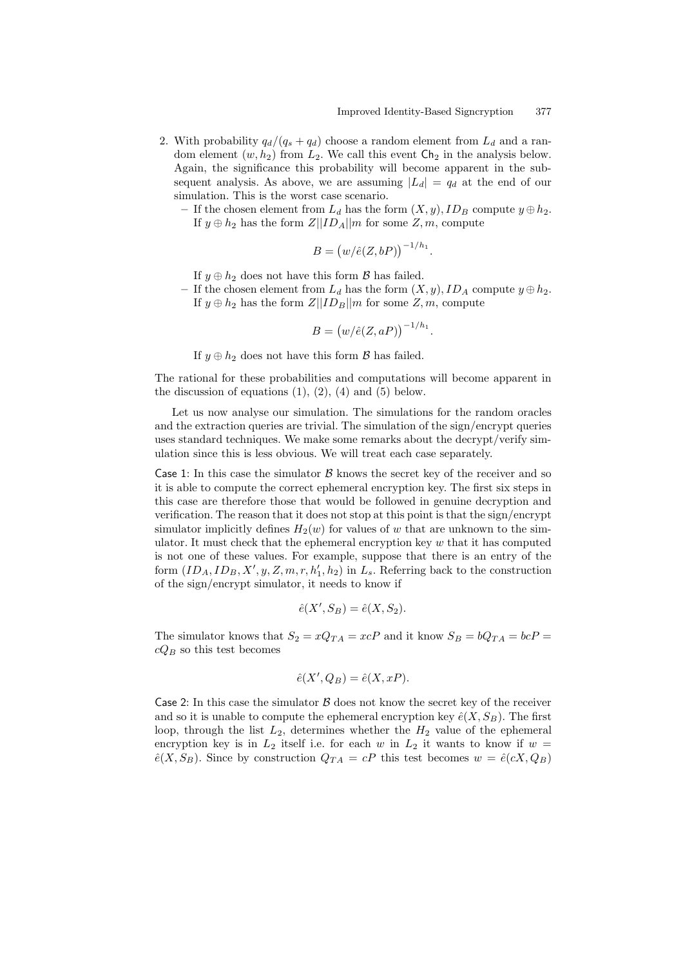- 2. With probability  $q_d/(q_s + q_d)$  choose a random element from  $L_d$  and a random element  $(w, h_2)$  from  $L_2$ . We call this event  $\mathsf{Ch}_2$  in the analysis below. Again, the significance this probability will become apparent in the subsequent analysis. As above, we are assuming  $|L_d| = q_d$  at the end of our simulation. This is the worst case scenario.
	- If the chosen element from  $L_d$  has the form  $(X, y)$ ,  $ID_B$  compute  $y \oplus h_2$ . If  $y \oplus h_2$  has the form  $Z||ID_A||m$  for some  $Z, m$ , compute

$$
B = \left( \frac{w}{\hat{e}}(Z, bP) \right)^{-1/h_1}.
$$

If  $y \oplus h_2$  does not have this form  $\beta$  has failed.

– If the chosen element from  $L_d$  has the form  $(X, y)$ ,  $ID_A$  compute  $y \oplus h_2$ . If  $y \oplus h_2$  has the form  $Z||ID_B||m$  for some  $Z, m$ , compute

$$
B = \left(w/\hat{e}(Z, aP)\right)^{-1/h_1}.
$$

If  $y \oplus h_2$  does not have this form  $\mathcal B$  has failed.

The rational for these probabilities and computations will become apparent in the discussion of equations  $(1)$ ,  $(2)$ ,  $(4)$  and  $(5)$  below.

Let us now analyse our simulation. The simulations for the random oracles and the extraction queries are trivial. The simulation of the sign/encrypt queries uses standard techniques. We make some remarks about the decrypt/verify simulation since this is less obvious. We will treat each case separately.

Case 1: In this case the simulator  $\beta$  knows the secret key of the receiver and so it is able to compute the correct ephemeral encryption key. The first six steps in this case are therefore those that would be followed in genuine decryption and verification. The reason that it does not stop at this point is that the sign/encrypt simulator implicitly defines  $H_2(w)$  for values of w that are unknown to the simulator. It must check that the ephemeral encryption key  $w$  that it has computed is not one of these values. For example, suppose that there is an entry of the form  $(ID_A, ID_B, X', y, Z, m, r, h'_1, h_2)$  in  $L_s$ . Referring back to the construction of the sign/encrypt simulator, it needs to know if

$$
\hat{e}(X', S_B) = \hat{e}(X, S_2).
$$

The simulator knows that  $S_2 = xQ_{TA} = xcP$  and it know  $S_B = bQ_{TA} = bcP$  $cQ_B$  so this test becomes

$$
\hat{e}(X', Q_B) = \hat{e}(X, xP).
$$

Case 2: In this case the simulator  $\beta$  does not know the secret key of the receiver and so it is unable to compute the ephemeral encryption key  $\hat{e}(X, S_B)$ . The first loop, through the list  $L_2$ , determines whether the  $H_2$  value of the ephemeral encryption key is in  $L_2$  itself i.e. for each w in  $L_2$  it wants to know if  $w =$  $\hat{e}(X, S_B)$ . Since by construction  $Q_{TA} = cP$  this test becomes  $w = \hat{e}(cX, Q_B)$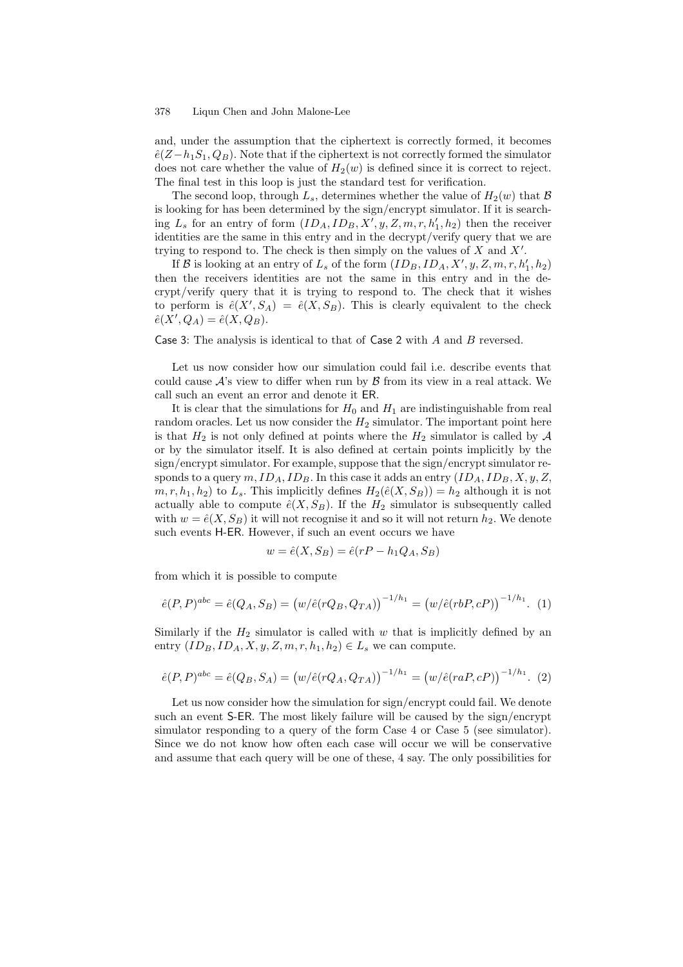and, under the assumption that the ciphertext is correctly formed, it becomes  $\hat{e}(Z-h_1S_1,Q_B)$ . Note that if the ciphertext is not correctly formed the simulator does not care whether the value of  $H_2(w)$  is defined since it is correct to reject. The final test in this loop is just the standard test for verification.

The second loop, through  $L_s$ , determines whether the value of  $H_2(w)$  that  $\mathcal B$ is looking for has been determined by the sign/encrypt simulator. If it is searching  $L_s$  for an entry of form  $(ID_A, ID_B, X', y, Z, m, r, h'_1, h_2)$  then the receiver identities are the same in this entry and in the decrypt/verify query that we are trying to respond to. The check is then simply on the values of  $X$  and  $X'$ .

If  $\mathcal B$  is looking at an entry of  $L_s$  of the form  $(ID_B, ID_A, X', y, Z, m, r, h'_1, h_2)$ then the receivers identities are not the same in this entry and in the decrypt/verify query that it is trying to respond to. The check that it wishes to perform is  $\hat{e}(X', S_A) = \hat{e}(X, S_B)$ . This is clearly equivalent to the check  $\hat{e}(X', Q_A) = \hat{e}(X, Q_B).$ 

Case 3: The analysis is identical to that of Case 2 with  $A$  and  $B$  reversed.

Let us now consider how our simulation could fail i.e. describe events that could cause  $\mathcal{A}$ 's view to differ when run by  $\mathcal{B}$  from its view in a real attack. We call such an event an error and denote it ER.

It is clear that the simulations for  $H_0$  and  $H_1$  are indistinguishable from real random oracles. Let us now consider the  $H_2$  simulator. The important point here is that  $H_2$  is not only defined at points where the  $H_2$  simulator is called by  $\mathcal A$ or by the simulator itself. It is also defined at certain points implicitly by the sign/encrypt simulator. For example, suppose that the sign/encrypt simulator responds to a query  $m$ ,  $ID_A$ ,  $ID_B$ . In this case it adds an entry  $(ID_A, ID_B, X, y, Z,$  $m, r, h_1, h_2$ ) to  $L_s$ . This implicitly defines  $H_2(\hat{e}(X, S_B)) = h_2$  although it is not actually able to compute  $\hat{e}(X, S_B)$ . If the  $H_2$  simulator is subsequently called with  $w = \hat{e}(X, S_B)$  it will not recognise it and so it will not return  $h_2$ . We denote such events H-ER. However, if such an event occurs we have

$$
w = \hat{e}(X, S_B) = \hat{e}(rP - h_1Q_A, S_B)
$$

from which it is possible to compute

$$
\hat{e}(P,P)^{abc} = \hat{e}(Q_A, S_B) = (w/\hat{e}(rQ_B, Q_{TA}))^{-1/h_1} = (w/\hat{e}(rbP, cP))^{-1/h_1}.
$$
 (1)

Similarly if the  $H_2$  simulator is called with w that is implicitly defined by an entry  $(ID_B, ID_A, X, y, Z, m, r, h_1, h_2) \in L_s$  we can compute.

$$
\hat{e}(P,P)^{abc} = \hat{e}(Q_B, S_A) = (w/\hat{e}(rQ_A, Q_{TA}))^{-1/h_1} = (w/\hat{e}(raP, cP))^{-1/h_1}.
$$
 (2)

Let us now consider how the simulation for sign/encrypt could fail. We denote such an event S-ER. The most likely failure will be caused by the sign/encrypt simulator responding to a query of the form Case 4 or Case 5 (see simulator). Since we do not know how often each case will occur we will be conservative and assume that each query will be one of these, 4 say. The only possibilities for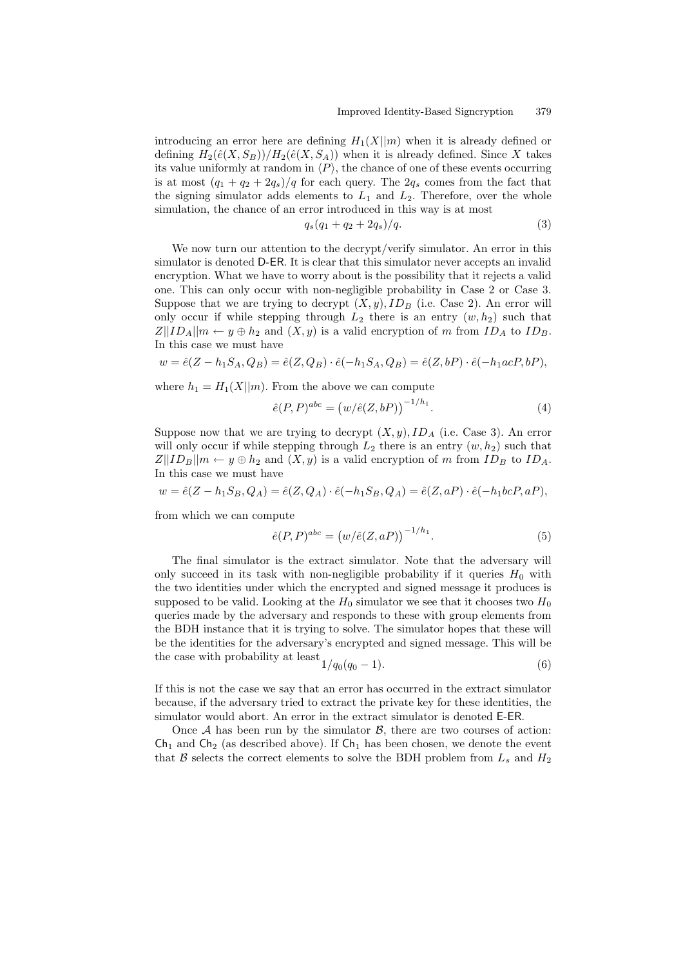introducing an error here are defining  $H_1(X||m)$  when it is already defined or defining  $H_2(\hat{e}(X, S_B))/H_2(\hat{e}(X, S_A))$  when it is already defined. Since X takes its value uniformly at random in  $\langle P \rangle$ , the chance of one of these events occurring is at most  $(q_1 + q_2 + 2q_s)/q$  for each query. The  $2q_s$  comes from the fact that the signing simulator adds elements to  $L_1$  and  $L_2$ . Therefore, over the whole simulation, the chance of an error introduced in this way is at most

$$
q_s(q_1 + q_2 + 2q_s)/q. \t\t(3)
$$

We now turn our attention to the decrypt/verify simulator. An error in this simulator is denoted D-ER. It is clear that this simulator never accepts an invalid encryption. What we have to worry about is the possibility that it rejects a valid one. This can only occur with non-negligible probability in Case 2 or Case 3. Suppose that we are trying to decrypt  $(X, y)$ ,  $ID_B$  (i.e. Case 2). An error will only occur if while stepping through  $L_2$  there is an entry  $(w, h_2)$  such that  $Z||ID_A||m \leftarrow y \oplus h_2$  and  $(X, y)$  is a valid encryption of m from  $ID_A$  to  $ID_B$ . In this case we must have

$$
w = \hat{e}(Z - h_1 S_A, Q_B) = \hat{e}(Z, Q_B) \cdot \hat{e}(-h_1 S_A, Q_B) = \hat{e}(Z, bP) \cdot \hat{e}(-h_1 acP, bP),
$$

where  $h_1 = H_1(X||m)$ . From the above we can compute

$$
\hat{e}(P, P)^{abc} = (w/\hat{e}(Z, bP))^{-1/h_1}.
$$
\n(4)

Suppose now that we are trying to decrypt  $(X, y)$ ,  $ID<sub>A</sub>$  (i.e. Case 3). An error will only occur if while stepping through  $L_2$  there is an entry  $(w, h_2)$  such that  $Z||ID_B||m \leftarrow y \oplus h_2$  and  $(X, y)$  is a valid encryption of m from  $ID_B$  to  $ID_A$ . In this case we must have

$$
w = \hat{e}(Z - h_1 S_B, Q_A) = \hat{e}(Z, Q_A) \cdot \hat{e}(-h_1 S_B, Q_A) = \hat{e}(Z, aP) \cdot \hat{e}(-h_1 bcP, aP),
$$

from which we can compute

$$
\hat{e}(P,P)^{abc} = \left(w/\hat{e}(Z,aP)\right)^{-1/h_1}.\tag{5}
$$

The final simulator is the extract simulator. Note that the adversary will only succeed in its task with non-negligible probability if it queries  $H_0$  with the two identities under which the encrypted and signed message it produces is supposed to be valid. Looking at the  $H_0$  simulator we see that it chooses two  $H_0$ queries made by the adversary and responds to these with group elements from the BDH instance that it is trying to solve. The simulator hopes that these will be the identities for the adversary's encrypted and signed message. This will be the case with probability at least

$$
1/q_0(q_0-1). \t\t(6)
$$

If this is not the case we say that an error has occurred in the extract simulator because, if the adversary tried to extract the private key for these identities, the simulator would abort. An error in the extract simulator is denoted E-ER.

Once A has been run by the simulator  $\mathcal{B}$ , there are two courses of action:  $Ch_1$  and  $Ch_2$  (as described above). If  $Ch_1$  has been chosen, we denote the event that  $\beta$  selects the correct elements to solve the BDH problem from  $L_s$  and  $H_2$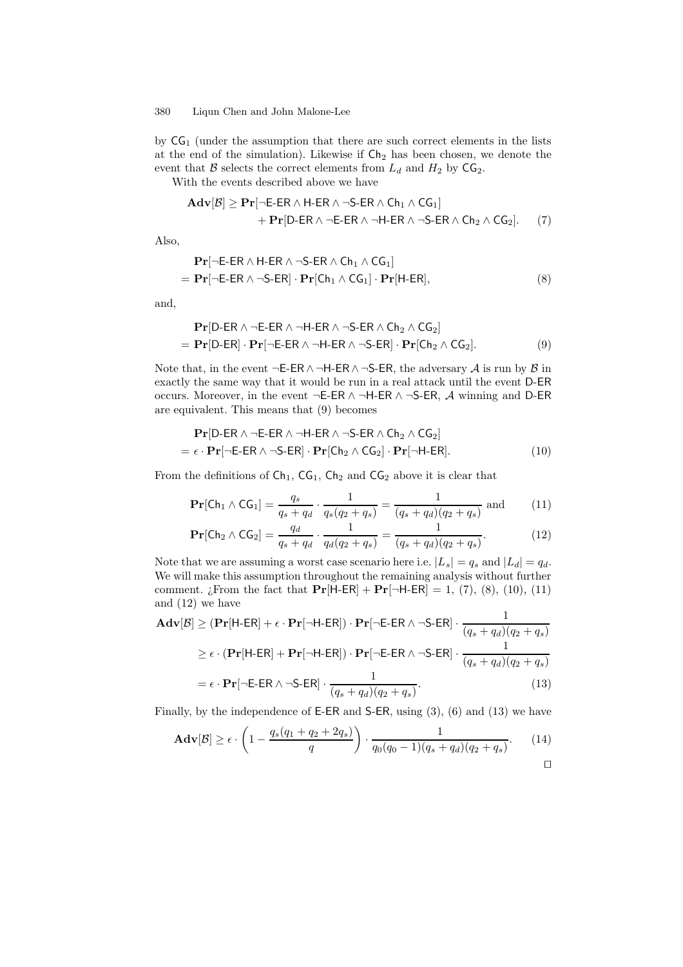by  $CG<sub>1</sub>$  (under the assumption that there are such correct elements in the lists at the end of the simulation). Likewise if  $\mathsf{Ch}_2$  has been chosen, we denote the event that  $\mathcal B$  selects the correct elements from  $L_d$  and  $H_2$  by  $\mathsf{CG}_2$ .

With the events described above we have

$$
\begin{aligned}\n\mathbf{Adv}[\mathcal{B}] &\geq \mathbf{Pr}[\neg \mathsf{E}\text{-}\mathsf{ER} \land \mathsf{H}\text{-}\mathsf{ER} \land \neg \mathsf{S}\text{-}\mathsf{ER} \land \mathsf{Ch}_1 \land \mathsf{CG}_1] \\
&\quad + \mathbf{Pr}[\mathsf{D}\text{-}\mathsf{ER} \land \neg \mathsf{E}\text{-}\mathsf{ER} \land \neg \mathsf{H}\text{-}\mathsf{ER} \land \neg \mathsf{S}\text{-}\mathsf{ER} \land \mathsf{Ch}_2 \land \mathsf{CG}_2].\n\end{aligned}\n\tag{7}
$$

Also,

$$
\begin{aligned} \mathbf{Pr}[\neg \mathsf{E}\text{-}\mathsf{ER} \land \mathsf{H}\text{-}\mathsf{ER} \land \neg \mathsf{S}\text{-}\mathsf{ER} \land \mathsf{Ch}_1 \land \mathsf{CG}_1] \\ &= \mathbf{Pr}[\neg \mathsf{E}\text{-}\mathsf{ER} \land \neg \mathsf{S}\text{-}\mathsf{ER}] \cdot \mathbf{Pr}[\mathsf{Ch}_1 \land \mathsf{CG}_1] \cdot \mathbf{Pr}[\mathsf{H}\text{-}\mathsf{ER}], \end{aligned} \tag{8}
$$

and,

$$
\begin{aligned} \mathbf{Pr}[\text{D-ER} \land \neg \text{E-ER} \land \neg \text{H-ER} \land \neg \text{S-ER} \land \text{Ch}_2 \land \text{CG}_2] \\ &= \mathbf{Pr}[\text{D-ER}] \cdot \mathbf{Pr}[\neg \text{E-ER} \land \neg \text{H-ER} \land \neg \text{S-ER}] \cdot \mathbf{Pr}[\text{Ch}_2 \land \text{CG}_2]. \end{aligned} \tag{9}
$$

Note that, in the event  $\neg$ E-ER∧ $\neg$ H-ER∧ $\neg$ S-ER, the adversary A is run by B in exactly the same way that it would be run in a real attack until the event D-ER occurs. Moreover, in the event ¬E-ER ∧ ¬H-ER ∧ ¬S-ER, A winning and D-ER are equivalent. This means that (9) becomes

$$
\mathbf{Pr}[D\text{-ER }\wedge\neg\text{-E\text{-ER }\wedge\neg\text{-H\text{-ER }\wedge\neg\text{-S\text{-ER }\wedge\text{Ch}_2}\wedge\text{CG}_2] = \epsilon \cdot \mathbf{Pr}[\neg\text{-E\text{-ER }\wedge\neg\text{-S\text{-ER }}] \cdot \mathbf{Pr}[Ch_2 \wedge\text{CG}_2] \cdot \mathbf{Pr}[\neg\text{H\text{-ER}}].
$$
 (10)

From the definitions of  $Ch_1$ ,  $CG_1$ ,  $Ch_2$  and  $CG_2$  above it is clear that

$$
\Pr[\text{Ch}_1 \wedge \text{CG}_1] = \frac{q_s}{q_s + q_d} \cdot \frac{1}{q_s(q_2 + q_s)} = \frac{1}{(q_s + q_d)(q_2 + q_s)} \text{ and } (11)
$$

$$
\Pr[\text{Ch}_2 \wedge \text{CG}_2] = \frac{q_d}{q_s + q_d} \cdot \frac{1}{q_d(q_2 + q_s)} = \frac{1}{(q_s + q_d)(q_2 + q_s)}.
$$
(12)

Note that we are assuming a worst case scenario here i.e.  $|L_s| = q_s$  and  $|L_d| = q_d$ . We will make this assumption throughout the remaining analysis without further comment. ¿From the fact that  $Pr[H-ER] + Pr[\neg H-ER] = 1, (7), (8), (10), (11)$ and (12) we have

$$
\mathbf{Adv}[\mathcal{B}] \geq (\mathbf{Pr}[\mathsf{H-ER}] + \epsilon \cdot \mathbf{Pr}[\neg \mathsf{H-ER}] ) \cdot \mathbf{Pr}[\neg \mathsf{E-ER} \land \neg \mathsf{S-ER}] \cdot \frac{1}{(q_s + q_d)(q_2 + q_s)}
$$
  
\n
$$
\geq \epsilon \cdot (\mathbf{Pr}[\mathsf{H-ER}] + \mathbf{Pr}[\neg \mathsf{H-ER}] ) \cdot \mathbf{Pr}[\neg \mathsf{E-ER} \land \neg \mathsf{S-ER}] \cdot \frac{1}{(q_s + q_d)(q_2 + q_s)}
$$
  
\n
$$
= \epsilon \cdot \mathbf{Pr}[\neg \mathsf{E-ER} \land \neg \mathsf{S-ER}] \cdot \frac{1}{(q_s + q_d)(q_2 + q_s)}. \tag{13}
$$

Finally, by the independence of E-ER and S-ER, using (3), (6) and (13) we have

$$
\mathbf{Adv}[\mathcal{B}] \ge \epsilon \cdot \left(1 - \frac{q_s(q_1 + q_2 + 2q_s)}{q}\right) \cdot \frac{1}{q_0(q_0 - 1)(q_s + q_d)(q_2 + q_s)}.\tag{14}
$$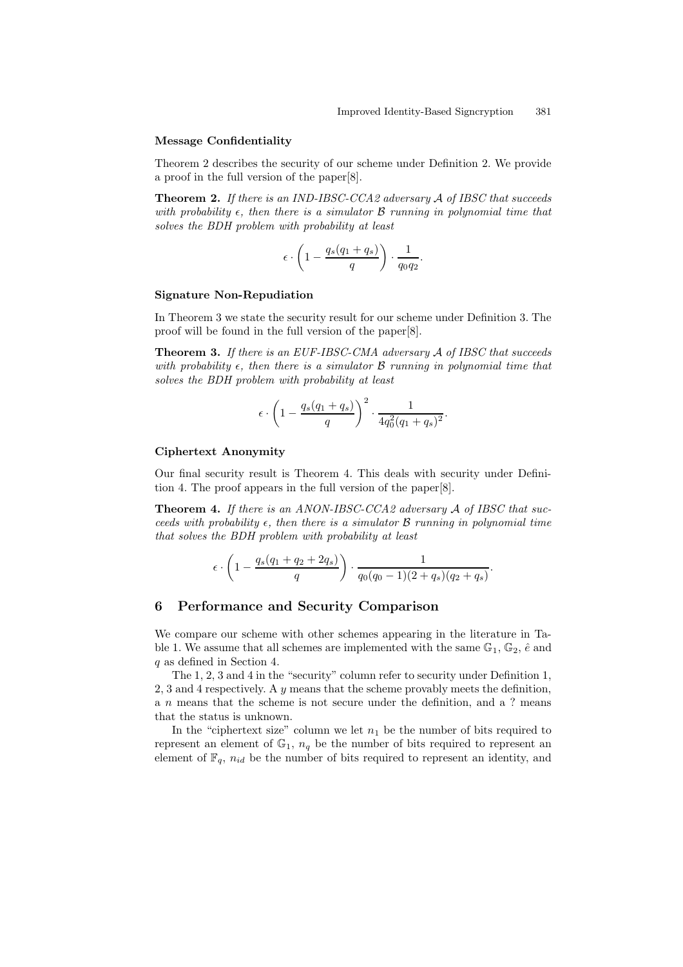#### Message Confidentiality

Theorem 2 describes the security of our scheme under Definition 2. We provide a proof in the full version of the paper[8].

Theorem 2. If there is an IND-IBSC-CCA2 adversary A of IBSC that succeeds with probability  $\epsilon$ , then there is a simulator  $\beta$  running in polynomial time that solves the BDH problem with probability at least

$$
\epsilon \cdot \left(1 - \frac{q_s(q_1 + q_s)}{q}\right) \cdot \frac{1}{q_0 q_2}.
$$

#### Signature Non-Repudiation

In Theorem 3 we state the security result for our scheme under Definition 3. The proof will be found in the full version of the paper[8].

Theorem 3. If there is an EUF-IBSC-CMA adversary A of IBSC that succeeds with probability  $\epsilon$ , then there is a simulator  $\beta$  running in polynomial time that solves the BDH problem with probability at least

$$
\epsilon \cdot \left(1 - \frac{q_s(q_1+q_s)}{q}\right)^2 \cdot \frac{1}{4q_0^2(q_1+q_s)^2}.
$$

### Ciphertext Anonymity

Our final security result is Theorem 4. This deals with security under Definition 4. The proof appears in the full version of the paper[8].

Theorem 4. If there is an ANON-IBSC-CCA2 adversary A of IBSC that succeeds with probability  $\epsilon$ , then there is a simulator  $\beta$  running in polynomial time that solves the BDH problem with probability at least

$$
\epsilon \cdot \left(1 - \frac{q_s(q_1 + q_2 + 2q_s)}{q}\right) \cdot \frac{1}{q_0(q_0 - 1)(2 + q_s)(q_2 + q_s)}.
$$

## 6 Performance and Security Comparison

We compare our scheme with other schemes appearing in the literature in Table 1. We assume that all schemes are implemented with the same  $\mathbb{G}_1$ ,  $\mathbb{G}_2$ ,  $\hat{e}$  and q as defined in Section 4.

The 1, 2, 3 and 4 in the "security" column refer to security under Definition 1, 2, 3 and 4 respectively. A  $y$  means that the scheme provably meets the definition, a n means that the scheme is not secure under the definition, and a ? means that the status is unknown.

In the "ciphertext size" column we let  $n_1$  be the number of bits required to represent an element of  $\mathbb{G}_1$ ,  $n_q$  be the number of bits required to represent an element of  $\mathbb{F}_q$ ,  $n_{id}$  be the number of bits required to represent an identity, and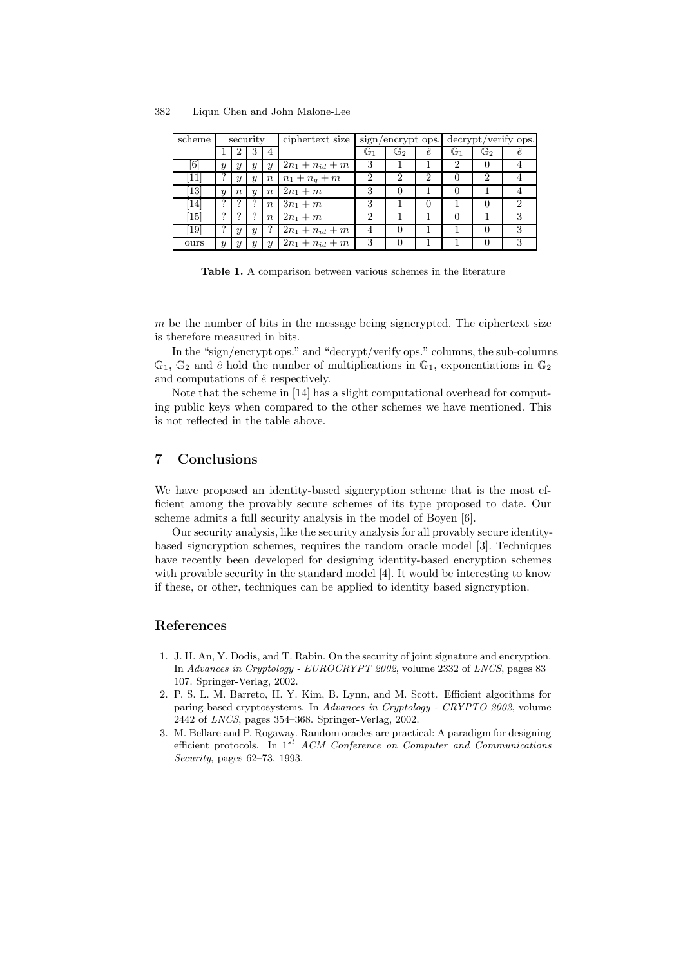| scheme                        | security         |                  |                  |                  | ciphertext size     |    |                |                  | sign/encrypt ops. decrypt/verify ops. |                |            |
|-------------------------------|------------------|------------------|------------------|------------------|---------------------|----|----------------|------------------|---------------------------------------|----------------|------------|
|                               |                  |                  | 3                | 4                |                     | G1 | $\mathbb{G}_2$ | ê                | $\mathbb{G}_1$                        | $\mathbb{G}_2$ | $\ddot{e}$ |
| [6]                           | $\boldsymbol{y}$ | $\boldsymbol{y}$ | $\boldsymbol{y}$ | $\boldsymbol{y}$ | $2n_1 + n_{id} + m$ | 3  |                |                  | 2                                     |                |            |
| 11                            | っ                | $\boldsymbol{y}$ | $\boldsymbol{y}$ | $\,n$            | $n_1 + n_q + m$     | 2  | 2              | 2                |                                       | $\mathcal{D}$  |            |
| [13]                          | $\boldsymbol{y}$ | $\boldsymbol{n}$ | $\boldsymbol{y}$ | $\boldsymbol{n}$ | $2n_1 + m$          | 3  |                |                  |                                       |                |            |
| 14                            | っ                | 9                |                  | $\boldsymbol{n}$ | $3n_1 + m$          | 3  |                | $\left( \right)$ |                                       |                |            |
| $\left\lceil 15 \right\rceil$ |                  |                  |                  | $\boldsymbol{n}$ | $2n_1 + m$          | 2  |                |                  |                                       |                |            |
| [19]                          | ∍                | $\boldsymbol{y}$ | $\boldsymbol{y}$ |                  | $2n_1 + n_{id} + m$ | 4  |                |                  |                                       |                |            |
| ours                          | $\boldsymbol{y}$ | $\boldsymbol{y}$ | $\boldsymbol{y}$ | $\boldsymbol{y}$ | $2n_1 + n_{id} + m$ | 3  |                |                  |                                       |                | 3          |

Table 1. A comparison between various schemes in the literature

 $m$  be the number of bits in the message being signcrypted. The ciphertext size is therefore measured in bits.

In the "sign/encrypt ops." and "decrypt/verify ops." columns, the sub-columns  $\mathbb{G}_1$ ,  $\mathbb{G}_2$  and  $\hat{e}$  hold the number of multiplications in  $\mathbb{G}_1$ , exponentiations in  $\mathbb{G}_2$ and computations of  $\hat{e}$  respectively.

Note that the scheme in [14] has a slight computational overhead for computing public keys when compared to the other schemes we have mentioned. This is not reflected in the table above.

# 7 Conclusions

We have proposed an identity-based signcryption scheme that is the most efficient among the provably secure schemes of its type proposed to date. Our scheme admits a full security analysis in the model of Boyen [6].

Our security analysis, like the security analysis for all provably secure identitybased signcryption schemes, requires the random oracle model [3]. Techniques have recently been developed for designing identity-based encryption schemes with provable security in the standard model [4]. It would be interesting to know if these, or other, techniques can be applied to identity based signcryption.

## References

- 1. J. H. An, Y. Dodis, and T. Rabin. On the security of joint signature and encryption. In Advances in Cryptology - EUROCRYPT 2002, volume 2332 of LNCS, pages 83– 107. Springer-Verlag, 2002.
- 2. P. S. L. M. Barreto, H. Y. Kim, B. Lynn, and M. Scott. Efficient algorithms for paring-based cryptosystems. In Advances in Cryptology - CRYPTO 2002, volume 2442 of LNCS, pages 354–368. Springer-Verlag, 2002.
- 3. M. Bellare and P. Rogaway. Random oracles are practical: A paradigm for designing efficient protocols. In 1<sup>st</sup> ACM Conference on Computer and Communications Security, pages 62–73, 1993.